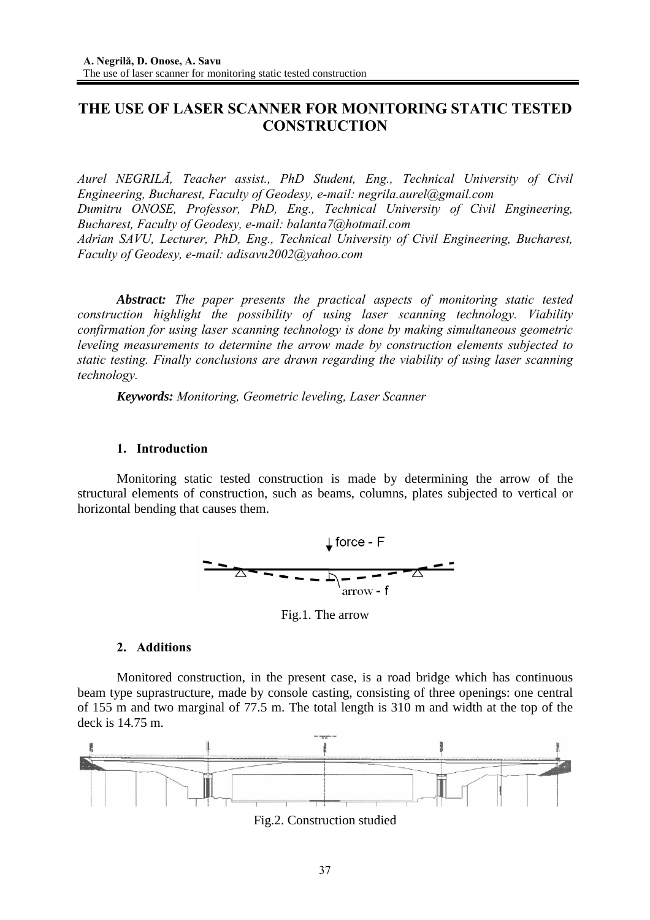# **THE USE OF LASER SCANNER FOR MONITORING STATIC TESTED CONSTRUCTION**

*Aurel NEGRILĂ, Teacher assist., PhD Student, Eng., Technical University of Civil Engineering, Bucharest, Faculty of Geodesy, e-mail: negrila.aurel@gmail.com Dumitru ONOSE, Professor, PhD, Eng., Technical University of Civil Engineering, Bucharest, Faculty of Geodesy, e-mail: balanta7@hotmail.com Adrian SAVU, Lecturer, PhD, Eng., Technical University of Civil Engineering, Bucharest, Faculty of Geodesy, e-mail: adisavu2002@yahoo.com* 

*Abstract: The paper presents the practical aspects of monitoring static tested construction highlight the possibility of using laser scanning technology. Viability confirmation for using laser scanning technology is done by making simultaneous geometric leveling measurements to determine the arrow made by construction elements subjected to static testing. Finally conclusions are drawn regarding the viability of using laser scanning technology.* 

*Keywords: Monitoring, Geometric leveling, Laser Scanner* 

## **1. Introduction**

Monitoring static tested construction is made by determining the arrow of the structural elements of construction, such as beams, columns, plates subjected to vertical or horizontal bending that causes them.



Fig.1. The arrow

## **2. Additions**

Monitored construction, in the present case, is a road bridge which has continuous beam type suprastructure, made by console casting, consisting of three openings: one central of 155 m and two marginal of 77.5 m. The total length is 310 m and width at the top of the deck is 14.75 m.



Fig.2. Construction studied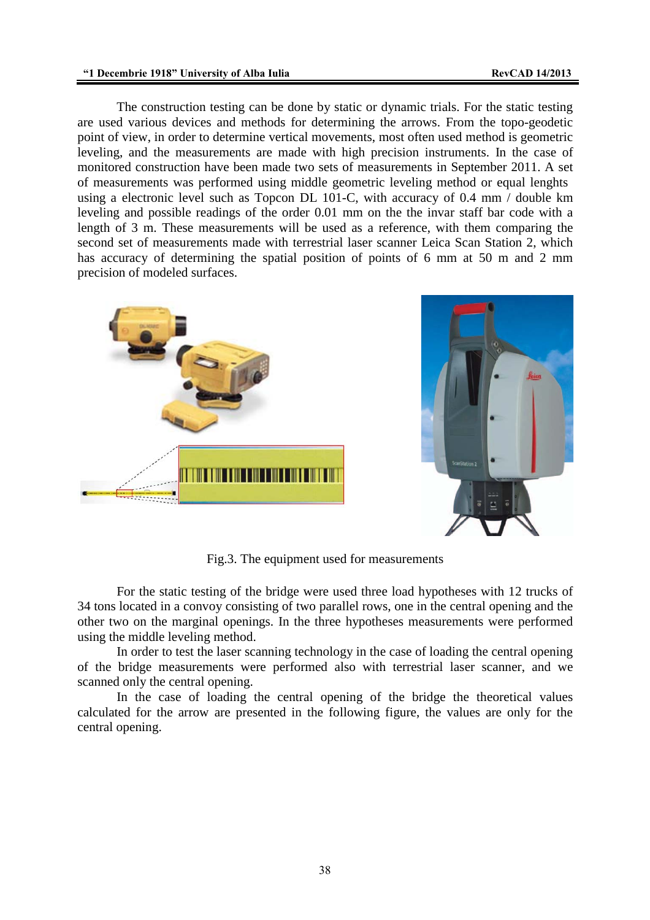The construction testing can be done by static or dynamic trials. For the static testing are used various devices and methods for determining the arrows. From the topo-geodetic point of view, in order to determine vertical movements, most often used method is geometric leveling, and the measurements are made with high precision instruments. In the case of monitored construction have been made two sets of measurements in September 2011. A set of measurements was performed using middle geometric leveling method or equal lenghts using a electronic level such as Topcon DL 101-C, with accuracy of 0.4 mm / double km leveling and possible readings of the order 0.01 mm on the the invar staff bar code with a length of 3 m. These measurements will be used as a reference, with them comparing the second set of measurements made with terrestrial laser scanner Leica Scan Station 2, which has accuracy of determining the spatial position of points of 6 mm at 50 m and 2 mm precision of modeled surfaces.





Fig.3. The equipment used for measurements

 For the static testing of the bridge were used three load hypotheses with 12 trucks of 34 tons located in a convoy consisting of two parallel rows, one in the central opening and the other two on the marginal openings. In the three hypotheses measurements were performed using the middle leveling method.

 In order to test the laser scanning technology in the case of loading the central opening of the bridge measurements were performed also with terrestrial laser scanner, and we scanned only the central opening.

 In the case of loading the central opening of the bridge the theoretical values calculated for the arrow are presented in the following figure, the values are only for the central opening.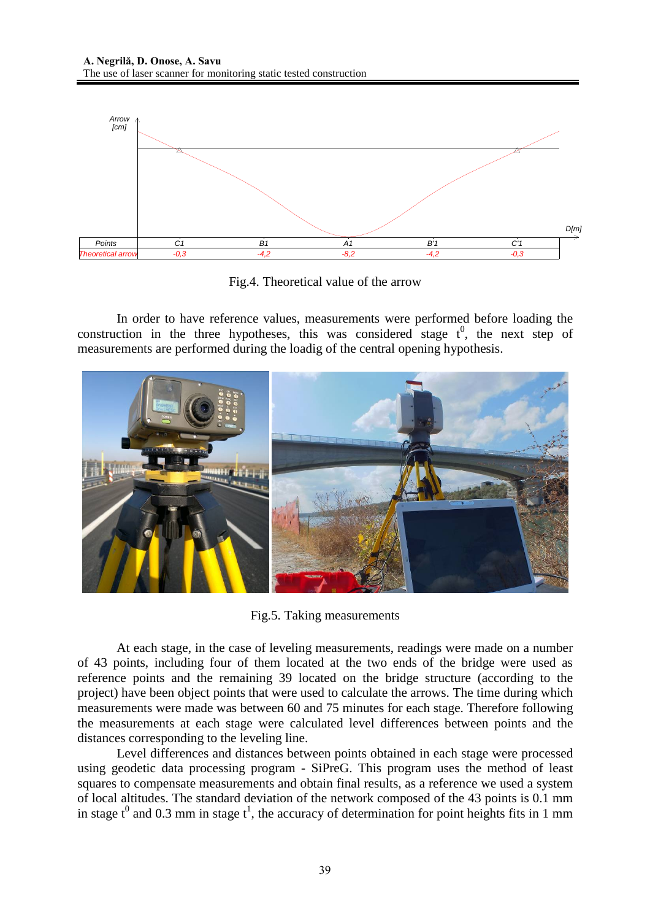

Fig.4. Theoretical value of the arrow

 In order to have reference values, measurements were performed before loading the construction in the three hypotheses, this was considered stage  $t^0$ , the next step of measurements are performed during the loadig of the central opening hypothesis.



Fig.5. Taking measurements

At each stage, in the case of leveling measurements, readings were made on a number of 43 points, including four of them located at the two ends of the bridge were used as reference points and the remaining 39 located on the bridge structure (according to the project) have been object points that were used to calculate the arrows. The time during which measurements were made was between 60 and 75 minutes for each stage. Therefore following the measurements at each stage were calculated level differences between points and the distances corresponding to the leveling line.

Level differences and distances between points obtained in each stage were processed using geodetic data processing program - SiPreG. This program uses the method of least squares to compensate measurements and obtain final results, as a reference we used a system of local altitudes. The standard deviation of the network composed of the 43 points is 0.1 mm in stage  $t^0$  and 0.3 mm in stage  $t^1$ , the accuracy of determination for point heights fits in 1 mm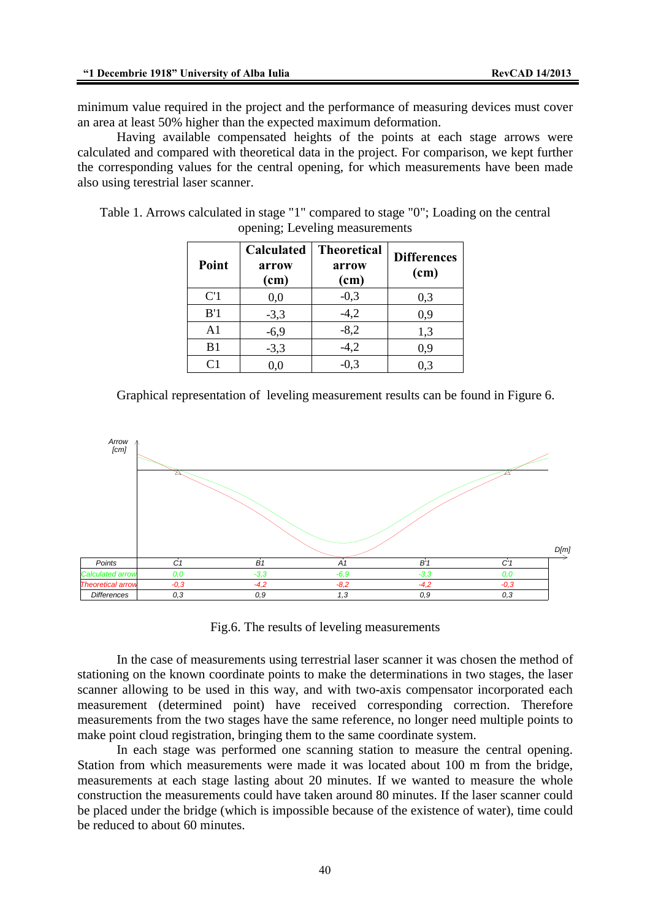minimum value required in the project and the performance of measuring devices must cover an area at least 50% higher than the expected maximum deformation.

Having available compensated heights of the points at each stage arrows were calculated and compared with theoretical data in the project. For comparison, we kept further the corresponding values for the central opening, for which measurements have been made also using terestrial laser scanner.

|  | opening; Leveling measurements                                          |  |
|--|-------------------------------------------------------------------------|--|
|  | Calculated   Theoretical $\int_{\mathbf{D}^2}$ Calculated   Theoretical |  |

Table 1. Arrows calculated in stage "1" compared to stage "0"; Loading on the central

| Point            | Calculated<br>arrow<br>(cm) | <b>Theoretical</b><br>arrow<br>(cm) | <b>Differences</b><br>(cm) |  |
|------------------|-----------------------------|-------------------------------------|----------------------------|--|
| C <sup>'</sup> 1 | 0,0                         | $-0,3$                              | 0,3                        |  |
| B'1              | $-3,3$                      | $-4,2$                              | 0,9                        |  |
| A <sub>1</sub>   | $-6,9$                      | $-8,2$                              | 1,3                        |  |
| B <sub>1</sub>   | $-3,3$                      | $-4,2$                              | 0,9                        |  |
| C1               | 0,0                         | $-0.3$                              | 0.3                        |  |

Graphical representation of leveling measurement results can be found in Figure 6.



Fig.6. The results of leveling measurements

In the case of measurements using terrestrial laser scanner it was chosen the method of stationing on the known coordinate points to make the determinations in two stages, the laser scanner allowing to be used in this way, and with two-axis compensator incorporated each measurement (determined point) have received corresponding correction. Therefore measurements from the two stages have the same reference, no longer need multiple points to make point cloud registration, bringing them to the same coordinate system.

In each stage was performed one scanning station to measure the central opening. Station from which measurements were made it was located about 100 m from the bridge, measurements at each stage lasting about 20 minutes. If we wanted to measure the whole construction the measurements could have taken around 80 minutes. If the laser scanner could be placed under the bridge (which is impossible because of the existence of water), time could be reduced to about 60 minutes.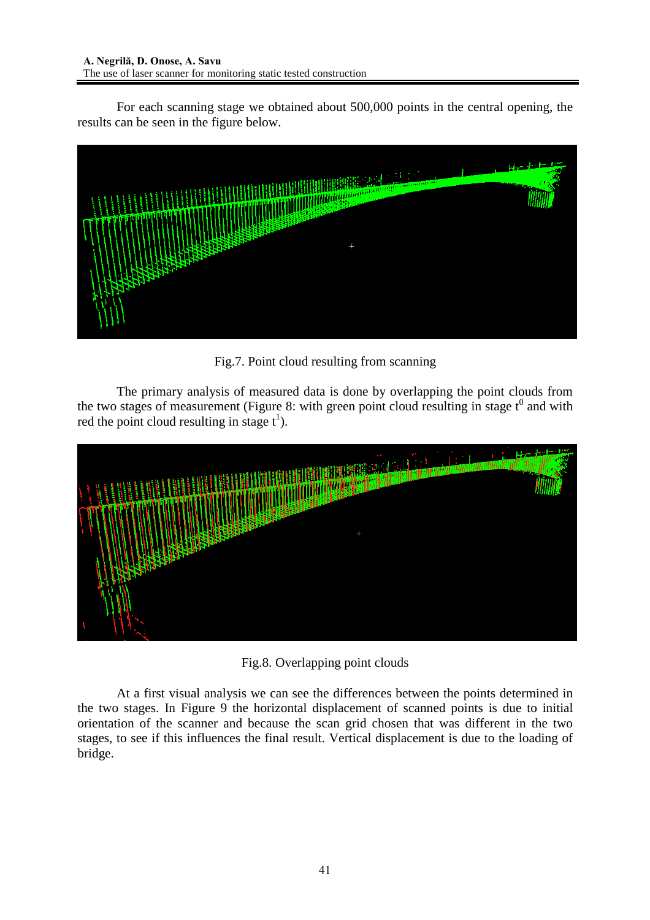For each scanning stage we obtained about 500,000 points in the central opening, the results can be seen in the figure below.



Fig.7. Point cloud resulting from scanning

 The primary analysis of measured data is done by overlapping the point clouds from the two stages of measurement (Figure 8: with green point cloud resulting in stage  $t^0$  and with red the point cloud resulting in stage  $t^1$ ).



Fig.8. Overlapping point clouds

At a first visual analysis we can see the differences between the points determined in the two stages. In Figure 9 the horizontal displacement of scanned points is due to initial orientation of the scanner and because the scan grid chosen that was different in the two stages, to see if this influences the final result. Vertical displacement is due to the loading of bridge.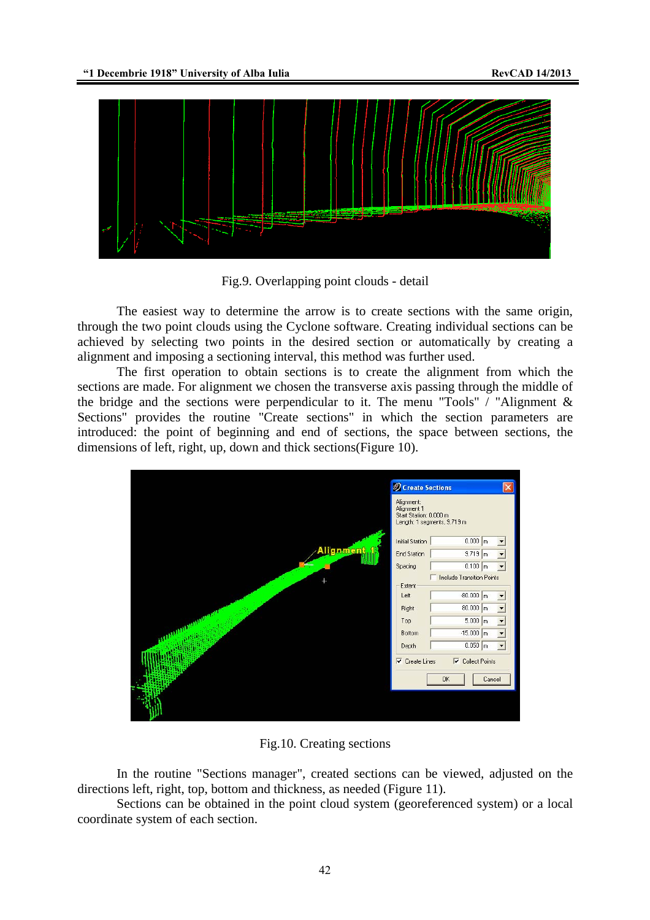

Fig.9. Overlapping point clouds - detail

The easiest way to determine the arrow is to create sections with the same origin, through the two point clouds using the Cyclone software. Creating individual sections can be achieved by selecting two points in the desired section or automatically by creating a alignment and imposing a sectioning interval, this method was further used.

The first operation to obtain sections is to create the alignment from which the sections are made. For alignment we chosen the transverse axis passing through the middle of the bridge and the sections were perpendicular to it. The menu "Tools" / "Alignment  $\&$ Sections" provides the routine "Create sections" in which the section parameters are introduced: the point of beginning and end of sections, the space between sections, the dimensions of left, right, up, down and thick sections(Figure 10).

|                  | Create Sections                                                                        |                          |
|------------------|----------------------------------------------------------------------------------------|--------------------------|
|                  | Alignment:<br>Alignment 1<br>Start Station: 0.000 m<br>Length: 1 segments, 9.719 m     |                          |
|                  | $0.000 \mid m$<br>Initial Station                                                      |                          |
| gnment           | $9.719$ m<br>End Station                                                               |                          |
|                  | $0.100$ m<br>Spacing                                                                   | $\overline{\phantom{a}}$ |
|                  | Include Transition Points                                                              |                          |
|                  | Extent<br>$-80.000$ m<br>Left                                                          |                          |
|                  | $80.000$ m<br><b>Right</b>                                                             | $\blacksquare$           |
| <b>SUPPORTER</b> | $5.000 \text{ m}$<br>Top                                                               |                          |
|                  | $-15.000$ m<br>Bottom                                                                  |                          |
|                  | $0.050$ m<br>Depth                                                                     |                          |
|                  | $\nabla$ Create Lines<br>$\overline{\mathbf{v}}$<br><b>Collect Points</b><br><b>OK</b> | Cancel                   |

Fig.10. Creating sections

In the routine "Sections manager", created sections can be viewed, adjusted on the directions left, right, top, bottom and thickness, as needed (Figure 11).

Sections can be obtained in the point cloud system (georeferenced system) or a local coordinate system of each section.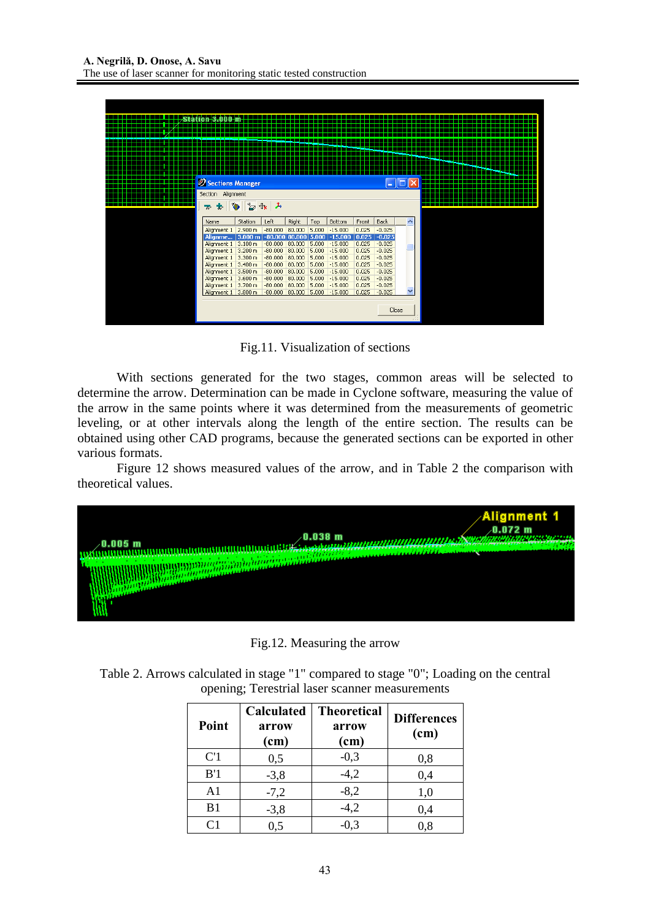| Sections Manager                           |                                                  |                        |                  |                |                        |                | н                    |              |  |
|--------------------------------------------|--------------------------------------------------|------------------------|------------------|----------------|------------------------|----------------|----------------------|--------------|--|
| Section Alignment                          |                                                  |                        |                  |                |                        |                |                      |              |  |
| $\mathbf{z} \star \mathbf{v} = \mathbf{0}$ |                                                  |                        |                  |                |                        |                |                      |              |  |
|                                            |                                                  |                        |                  |                |                        |                |                      |              |  |
| Name                                       | Station                                          | Left                   | Right            | Top            | Bottom                 | Front          | <b>Back</b>          | ᄉ            |  |
| Alignment 1 2.900 m                        |                                                  | $-80,000$ 80,000       |                  | 5,000          | $-15,000$              | 0.025          | $-0.025$             |              |  |
| Alignme                                    | $ 3.000 \text{ m} $ -80.000 80.000 5.000 -15.000 |                        |                  |                |                        | 0.025          | $-0.025$             |              |  |
| Alignment 1                                | 3.100 m                                          | $-80,000$              | 80,000           | 5.000          | $-15,000$              | 0.025          | $-0.025$             |              |  |
| Alignment 1<br>Alignment 1                 | 3.200 m<br>3.300 m                               | $-80,000$<br>$-80,000$ | 80,000<br>80,000 | 5.000<br>5.000 | $-15,000$<br>$-15,000$ | 0.025<br>0.025 | $-0.025$<br>$-0.025$ |              |  |
| Alignment 1                                | 3,400 m                                          | $-80,000$              | 80,000           | 5.000          | $-15,000$              | 0.025          | $-0.025$             |              |  |
| Alignment 1                                | 3.500 m                                          | $-80,000$              | 80,000           | 5.000          | $-15,000$              | 0.025          | $-0.025$             |              |  |
|                                            |                                                  |                        |                  |                |                        |                |                      |              |  |
| Alignment 1                                | 3,600 m                                          | $-80,000$              | 80,000           | 5.000          | $-15,000$              | 0.025          | $-0.025$             |              |  |
| Alignment 1                                | 3.700 m                                          | $-80,000$              | 80,000           | 5,000          | $-15,000$              | 0.025          | $-0.025$             |              |  |
| Alignment 1                                | 3.800 m                                          | $-80.000$              | 80,000           | 5,000          | $-15,000$              | 0.025          | $-0.025$             | $\checkmark$ |  |
|                                            |                                                  |                        |                  |                |                        |                |                      |              |  |

Fig.11. Visualization of sections

 With sections generated for the two stages, common areas will be selected to determine the arrow. Determination can be made in Cyclone software, measuring the value of the arrow in the same points where it was determined from the measurements of geometric leveling, or at other intervals along the length of the entire section. The results can be obtained using other CAD programs, because the generated sections can be exported in other various formats.

 Figure 12 shows measured values of the arrow, and in Table 2 the comparison with theoretical values.



Fig.12. Measuring the arrow

Table 2. Arrows calculated in stage "1" compared to stage "0"; Loading on the central opening; Terestrial laser scanner measurements

| Point          | <b>Calculated</b><br>arrow<br>(cm) | <b>Theoretical</b><br>arrow<br>(cm) | <b>Differences</b><br>(cm) |
|----------------|------------------------------------|-------------------------------------|----------------------------|
| C <sub>1</sub> | 0,5                                | $-0,3$                              | 0,8                        |
| B'1            | $-3,8$                             | $-4,2$                              | 0,4                        |
| A <sub>1</sub> | $-7,2$                             | $-8,2$                              | 1,0                        |
| B1             | $-3,8$                             | $-4,2$                              | 0,4                        |
| $\mathsf{C}1$  | 0,5                                | $-0,3$                              | 0,8                        |